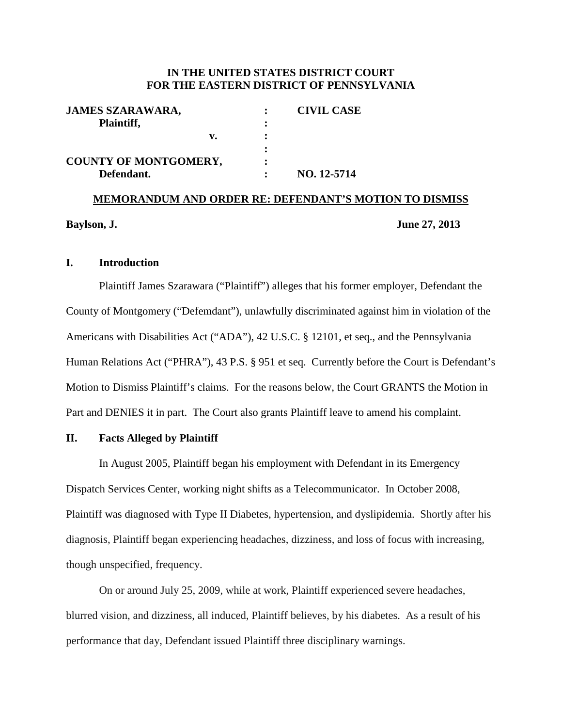#### **IN THE UNITED STATES DISTRICT COURT FOR THE EASTERN DISTRICT OF PENNSYLVANIA**

| <b>JAMES SZARAWARA,</b>      | <b>CIVIL CASE</b> |
|------------------------------|-------------------|
| Plaintiff,                   |                   |
| $\mathbf{v}$ .               |                   |
|                              |                   |
| <b>COUNTY OF MONTGOMERY,</b> |                   |
| Defendant.                   | NO. 12-5714       |

# **MEMORANDUM AND ORDER RE: DEFENDANT'S MOTION TO DISMISS Baylson, J. June 27, 2013**

#### **I. Introduction**

Plaintiff James Szarawara ("Plaintiff") alleges that his former employer, Defendant the County of Montgomery ("Defemdant"), unlawfully discriminated against him in violation of the Americans with Disabilities Act ("ADA"), 42 U.S.C. § 12101, et seq., and the Pennsylvania Human Relations Act ("PHRA"), 43 P.S. § 951 et seq. Currently before the Court is Defendant's Motion to Dismiss Plaintiff's claims. For the reasons below, the Court GRANTS the Motion in Part and DENIES it in part. The Court also grants Plaintiff leave to amend his complaint.

#### **II. Facts Alleged by Plaintiff**

In August 2005, Plaintiff began his employment with Defendant in its Emergency Dispatch Services Center, working night shifts as a Telecommunicator. In October 2008, Plaintiff was diagnosed with Type II Diabetes, hypertension, and dyslipidemia. Shortly after his diagnosis, Plaintiff began experiencing headaches, dizziness, and loss of focus with increasing, though unspecified, frequency.

On or around July 25, 2009, while at work, Plaintiff experienced severe headaches, blurred vision, and dizziness, all induced, Plaintiff believes, by his diabetes. As a result of his performance that day, Defendant issued Plaintiff three disciplinary warnings.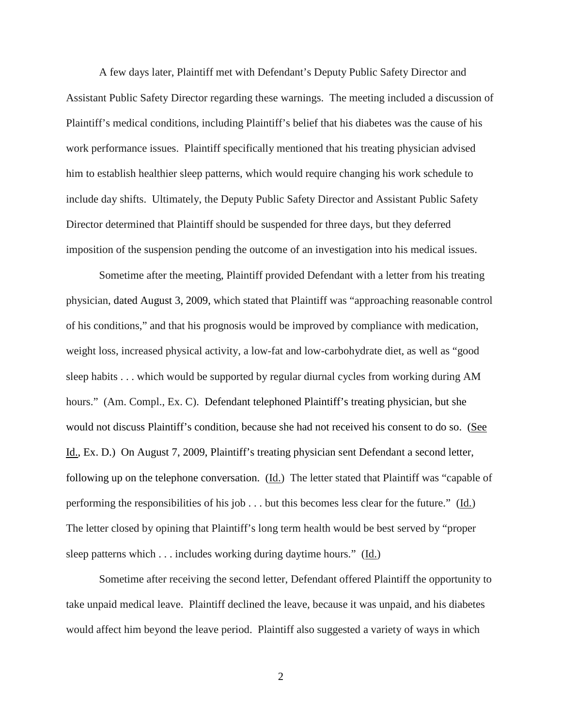A few days later, Plaintiff met with Defendant's Deputy Public Safety Director and Assistant Public Safety Director regarding these warnings. The meeting included a discussion of Plaintiff's medical conditions, including Plaintiff's belief that his diabetes was the cause of his work performance issues. Plaintiff specifically mentioned that his treating physician advised him to establish healthier sleep patterns, which would require changing his work schedule to include day shifts. Ultimately, the Deputy Public Safety Director and Assistant Public Safety Director determined that Plaintiff should be suspended for three days, but they deferred imposition of the suspension pending the outcome of an investigation into his medical issues.

Sometime after the meeting, Plaintiff provided Defendant with a letter from his treating physician, dated August 3, 2009, which stated that Plaintiff was "approaching reasonable control of his conditions," and that his prognosis would be improved by compliance with medication, weight loss, increased physical activity, a low-fat and low-carbohydrate diet, as well as "good sleep habits . . . which would be supported by regular diurnal cycles from working during AM hours." (Am. Compl., Ex. C). Defendant telephoned Plaintiff's treating physician, but she would not discuss Plaintiff's condition, because she had not received his consent to do so. (See Id., Ex. D.) On August 7, 2009, Plaintiff's treating physician sent Defendant a second letter, following up on the telephone conversation. (Id.) The letter stated that Plaintiff was "capable of performing the responsibilities of his job  $\ldots$  but this becomes less clear for the future." (Id.) The letter closed by opining that Plaintiff's long term health would be best served by "proper sleep patterns which . . . includes working during daytime hours." (Id.)

Sometime after receiving the second letter, Defendant offered Plaintiff the opportunity to take unpaid medical leave. Plaintiff declined the leave, because it was unpaid, and his diabetes would affect him beyond the leave period. Plaintiff also suggested a variety of ways in which

2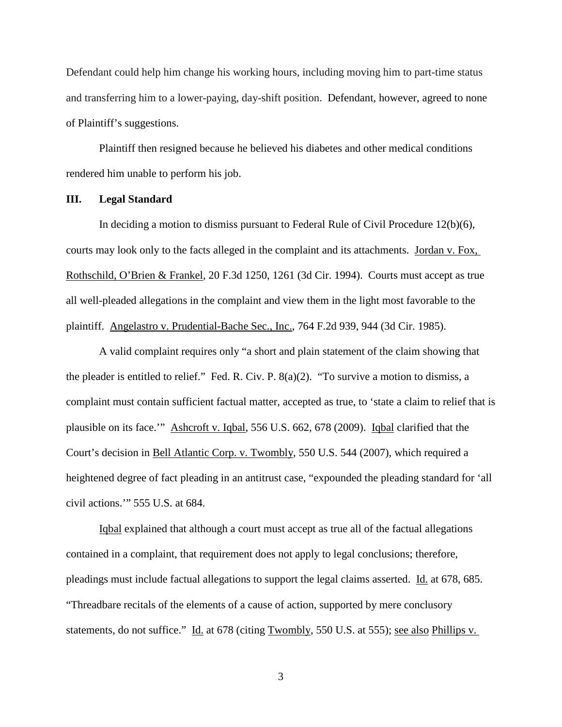Defendant could help him change his working hours, including moving him to part-time status and transferring him to a lower-paying, day-shift position. Defendant, however, agreed to none of Plaintiff's suggestions.

Plaintiff then resigned because he believed his diabetes and other medical conditions rendered him unable to perform his job.

#### **III. Legal Standard**

In deciding a motion to dismiss pursuant to Federal Rule of Civil Procedure 12(b)(6), courts may look only to the facts alleged in the complaint and its attachments. Jordan v. Fox, Rothschild, O'Brien & Frankel, 20 F.3d 1250, 1261 (3d Cir. 1994). Courts must accept as true all well-pleaded allegations in the complaint and view them in the light most favorable to the plaintiff. Angelastro v. Prudential-Bache Sec., Inc., 764 F.2d 939, 944 (3d Cir. 1985).

A valid complaint requires only "a short and plain statement of the claim showing that the pleader is entitled to relief." Fed. R. Civ. P. 8(a)(2). "To survive a motion to dismiss, a complaint must contain sufficient factual matter, accepted as true, to 'state a claim to relief that is plausible on its face.'" Ashcroft v. Iqbal, 556 U.S. 662, 678 (2009). Iqbal clarified that the Court's decision in Bell Atlantic Corp. v. Twombly, 550 U.S. 544 (2007), which required a heightened degree of fact pleading in an antitrust case, "expounded the pleading standard for 'all civil actions.'" 555 U.S. at 684.

Iqbal explained that although a court must accept as true all of the factual allegations contained in a complaint, that requirement does not apply to legal conclusions; therefore, pleadings must include factual allegations to support the legal claims asserted. Id. at 678, 685. "Threadbare recitals of the elements of a cause of action, supported by mere conclusory statements, do not suffice." Id. at 678 (citing Twombly, 550 U.S. at 555); see also Phillips v.

3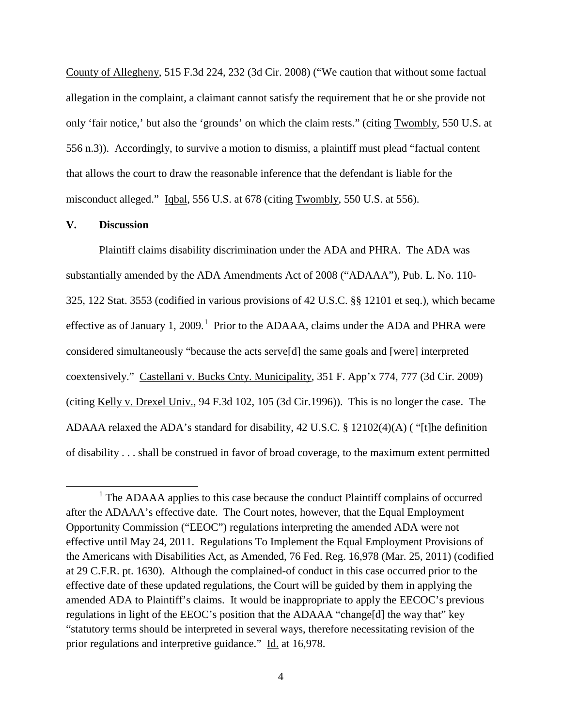County of Allegheny, 515 F.3d 224, 232 (3d Cir. 2008) ("We caution that without some factual allegation in the complaint, a claimant cannot satisfy the requirement that he or she provide not only 'fair notice,' but also the 'grounds' on which the claim rests." (citing Twombly, 550 U.S. at 556 n.3)). Accordingly, to survive a motion to dismiss, a plaintiff must plead "factual content that allows the court to draw the reasonable inference that the defendant is liable for the misconduct alleged." Igbal, 556 U.S. at 678 (citing Twombly, 550 U.S. at 556).

#### **V. Discussion**

Plaintiff claims disability discrimination under the ADA and PHRA. The ADA was substantially amended by the ADA Amendments Act of 2008 ("ADAAA"), Pub. L. No. 110- 325, 122 Stat. 3553 (codified in various provisions of 42 U.S.C. §§ 12101 et seq.), which became effective as of January [1](#page-3-0), 2009.<sup>1</sup> Prior to the ADAAA, claims under the ADA and PHRA were considered simultaneously "because the acts serve[d] the same goals and [were] interpreted coextensively." Castellani v. Bucks Cnty. Municipality, 351 F. App'x 774, 777 (3d Cir. 2009) (citing Kelly v. Drexel Univ.*,* 94 F.3d 102, 105 (3d Cir.1996)). This is no longer the case. The ADAAA relaxed the ADA's standard for disability, 42 U.S.C. § 12102(4)(A) ( "[t]he definition of disability . . . shall be construed in favor of broad coverage, to the maximum extent permitted

<span id="page-3-0"></span><sup>&</sup>lt;sup>1</sup> The ADAAA applies to this case because the conduct Plaintiff complains of occurred after the ADAAA's effective date. The Court notes, however, that the Equal Employment Opportunity Commission ("EEOC") regulations interpreting the amended ADA were not effective until May 24, 2011. Regulations To Implement the Equal Employment Provisions of the Americans with Disabilities Act, as Amended, 76 Fed. Reg. 16,978 (Mar. 25, 2011) (codified at 29 C.F.R. pt. 1630). Although the complained-of conduct in this case occurred prior to the effective date of these updated regulations, the Court will be guided by them in applying the amended ADA to Plaintiff's claims. It would be inappropriate to apply the EECOC's previous regulations in light of the EEOC's position that the ADAAA "change[d] the way that" key "statutory terms should be interpreted in several ways, therefore necessitating revision of the prior regulations and interpretive guidance." Id. at 16,978.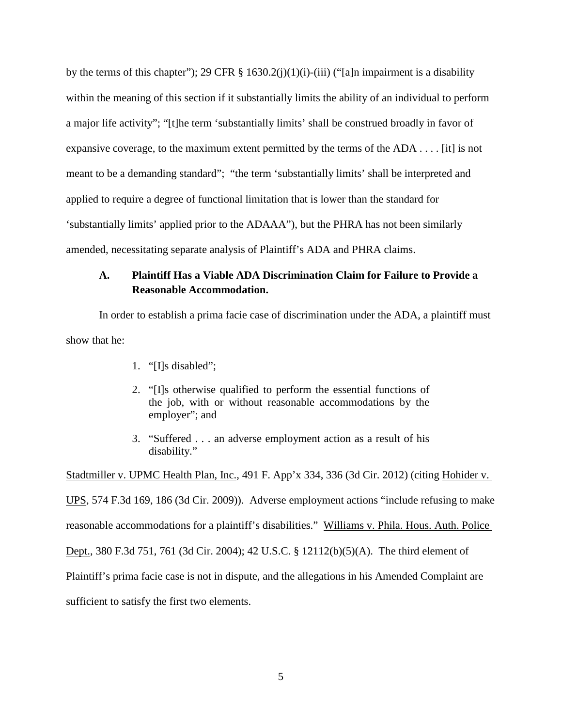by the terms of this chapter"); 29 CFR  $\S$  1630.2(j)(1)(j)-(iii) ("[a]n impairment is a disability within the meaning of this section if it substantially limits the ability of an individual to perform a major life activity"; "[t]he term 'substantially limits' shall be construed broadly in favor of expansive coverage, to the maximum extent permitted by the terms of the ADA . . . . [it] is not meant to be a demanding standard"; "the term 'substantially limits' shall be interpreted and applied to require a degree of functional limitation that is lower than the standard for 'substantially limits' applied prior to the ADAAA"), but the PHRA has not been similarly amended, necessitating separate analysis of Plaintiff's ADA and PHRA claims.

# **A. Plaintiff Has a Viable ADA Discrimination Claim for Failure to Provide a Reasonable Accommodation.**

In order to establish a prima facie case of discrimination under the ADA, a plaintiff must show that he:

- 1. "[I]s disabled";
- 2. "[I]s otherwise qualified to perform the essential functions of the job, with or without reasonable accommodations by the employer"; and
- 3. "Suffered . . . an adverse employment action as a result of his disability."

Stadtmiller v. UPMC Health Plan, Inc., 491 F. App'x 334, 336 (3d Cir. 2012) (citing Hohider v. UPS, 574 F.3d 169, 186 (3d Cir. 2009)). Adverse employment actions "include refusing to make reasonable accommodations for a plaintiff's disabilities." Williams v. Phila. Hous. Auth. Police Dept., 380 F.3d 751, 761 (3d Cir. 2004); 42 U.S.C. § 12112(b)(5)(A). The third element of Plaintiff's prima facie case is not in dispute, and the allegations in his Amended Complaint are sufficient to satisfy the first two elements.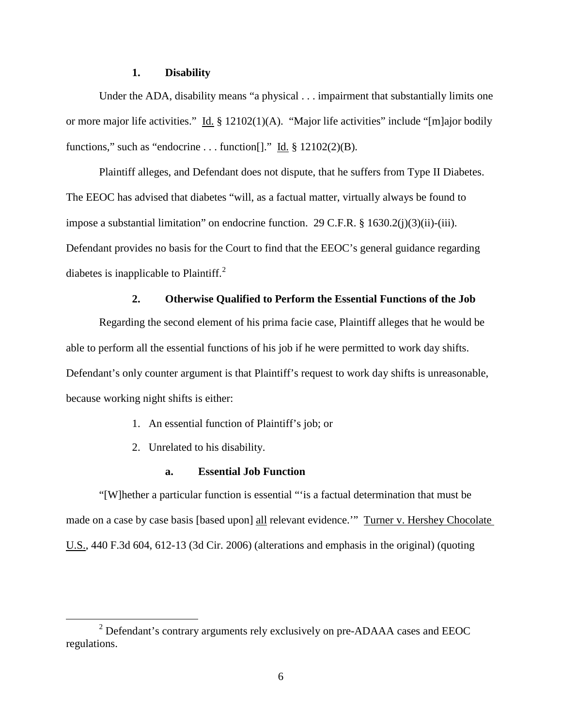#### **1. Disability**

Under the ADA, disability means "a physical . . . impairment that substantially limits one or more major life activities." Id. § 12102(1)(A). "Major life activities" include "[m]ajor bodily functions," such as "endocrine . . . function[]." Id.  $\S$  12102(2)(B).

Plaintiff alleges, and Defendant does not dispute, that he suffers from Type II Diabetes. The EEOC has advised that diabetes "will, as a factual matter, virtually always be found to impose a substantial limitation" on endocrine function. 29 C.F.R. § 1630.2(j)(3)(ii)-(iii). Defendant provides no basis for the Court to find that the EEOC's general guidance regarding diabetes is inapplicable to Plaintiff. $^{2}$  $^{2}$  $^{2}$ 

#### **2. Otherwise Qualified to Perform the Essential Functions of the Job**

Regarding the second element of his prima facie case, Plaintiff alleges that he would be able to perform all the essential functions of his job if he were permitted to work day shifts. Defendant's only counter argument is that Plaintiff's request to work day shifts is unreasonable, because working night shifts is either:

- 1. An essential function of Plaintiff's job; or
- 2. Unrelated to his disability.

### **a. Essential Job Function**

"[W]hether a particular function is essential "'is a factual determination that must be made on a case by case basis [based upon] all relevant evidence."" Turner v. Hershey Chocolate U.S., 440 F.3d 604, 612-13 (3d Cir. 2006) (alterations and emphasis in the original) (quoting

<span id="page-5-0"></span><sup>&</sup>lt;sup>2</sup> Defendant's contrary arguments rely exclusively on pre-ADAAA cases and EEOC regulations.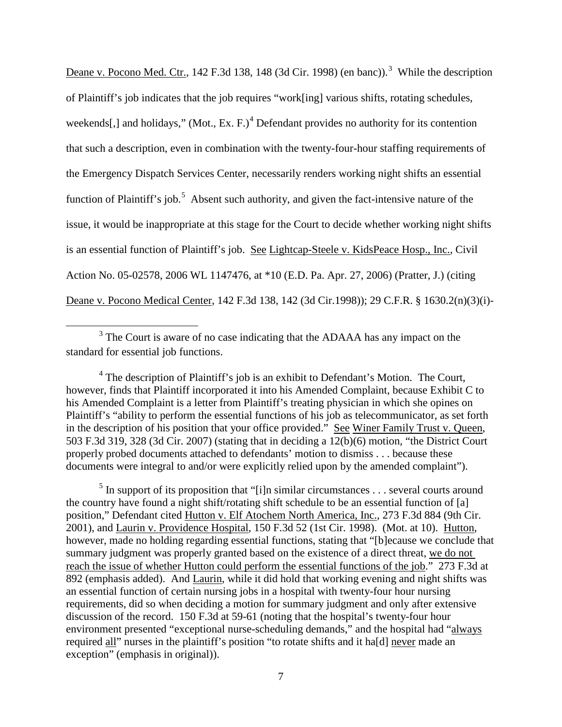Deane v. Pocono Med. Ctr., 142 F.[3](#page-6-0)d 138, 148 (3d Cir. 1998) (en banc)).<sup>3</sup> While the description of Plaintiff's job indicates that the job requires "work[ing] various shifts, rotating schedules, weekends[,] and holidays," (Mot., Ex. F.)<sup>[4](#page-6-1)</sup> Defendant provides no authority for its contention that such a description, even in combination with the twenty-four-hour staffing requirements of the Emergency Dispatch Services Center, necessarily renders working night shifts an essential function of Plaintiff's job.<sup>[5](#page-6-2)</sup> Absent such authority, and given the fact-intensive nature of the issue, it would be inappropriate at this stage for the Court to decide whether working night shifts is an essential function of Plaintiff's job. See Lightcap-Steele v. KidsPeace Hosp., Inc., Civil Action No. 05-02578, 2006 WL 1147476, at \*10 (E.D. Pa. Apr. 27, 2006) (Pratter, J.) (citing Deane v. Pocono Medical Center, 142 F.3d 138, 142 (3d Cir.1998)); 29 C.F.R. § 1630.2(n)(3)(i)-

<span id="page-6-0"></span><sup>&</sup>lt;sup>3</sup> The Court is aware of no case indicating that the ADAAA has any impact on the standard for essential job functions.

<span id="page-6-1"></span><sup>&</sup>lt;sup>4</sup> The description of Plaintiff's job is an exhibit to Defendant's Motion. The Court, however, finds that Plaintiff incorporated it into his Amended Complaint, because Exhibit C to his Amended Complaint is a letter from Plaintiff's treating physician in which she opines on Plaintiff's "ability to perform the essential functions of his job as telecommunicator, as set forth in the description of his position that your office provided." See Winer Family Trust v. Queen, 503 F.3d 319, 328 (3d Cir. 2007) (stating that in deciding a 12(b)(6) motion, "the District Court properly probed documents attached to defendants' motion to dismiss . . . because these documents were integral to and/or were explicitly relied upon by the amended complaint").

<span id="page-6-2"></span> $<sup>5</sup>$  In support of its proposition that "[i]n similar circumstances . . . several courts around</sup> the country have found a night shift/rotating shift schedule to be an essential function of [a] position," Defendant cited Hutton v. Elf Atochem North America, Inc., 273 F.3d 884 (9th Cir. 2001), and Laurin v. Providence Hospital, 150 F.3d 52 (1st Cir. 1998). (Mot. at 10). Hutton, however, made no holding regarding essential functions, stating that "[b]ecause we conclude that summary judgment was properly granted based on the existence of a direct threat, we do not reach the issue of whether Hutton could perform the essential functions of the job." 273 F.3d at 892 (emphasis added). And Laurin, while it did hold that working evening and night shifts was an essential function of certain nursing jobs in a hospital with twenty-four hour nursing requirements, did so when deciding a motion for summary judgment and only after extensive discussion of the record. 150 F.3d at 59-61 (noting that the hospital's twenty-four hour environment presented "exceptional nurse-scheduling demands," and the hospital had "always required all" nurses in the plaintiff's position "to rotate shifts and it ha[d] never made an exception" (emphasis in original)).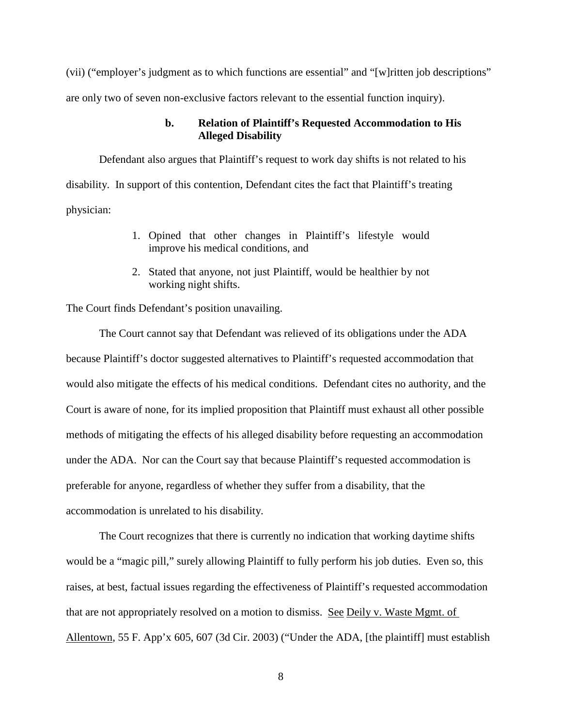(vii) ("employer's judgment as to which functions are essential" and "[w]ritten job descriptions" are only two of seven non-exclusive factors relevant to the essential function inquiry).

#### **b. Relation of Plaintiff's Requested Accommodation to His Alleged Disability**

Defendant also argues that Plaintiff's request to work day shifts is not related to his disability. In support of this contention, Defendant cites the fact that Plaintiff's treating physician:

- 1. Opined that other changes in Plaintiff's lifestyle would improve his medical conditions, and
- 2. Stated that anyone, not just Plaintiff, would be healthier by not working night shifts.

The Court finds Defendant's position unavailing.

The Court cannot say that Defendant was relieved of its obligations under the ADA because Plaintiff's doctor suggested alternatives to Plaintiff's requested accommodation that would also mitigate the effects of his medical conditions. Defendant cites no authority, and the Court is aware of none, for its implied proposition that Plaintiff must exhaust all other possible methods of mitigating the effects of his alleged disability before requesting an accommodation under the ADA. Nor can the Court say that because Plaintiff's requested accommodation is preferable for anyone, regardless of whether they suffer from a disability, that the accommodation is unrelated to his disability.

The Court recognizes that there is currently no indication that working daytime shifts would be a "magic pill," surely allowing Plaintiff to fully perform his job duties. Even so, this raises, at best, factual issues regarding the effectiveness of Plaintiff's requested accommodation that are not appropriately resolved on a motion to dismiss. See Deily v. Waste Mgmt. of Allentown, 55 F. App'x 605, 607 (3d Cir. 2003) ("Under the ADA, [the plaintiff] must establish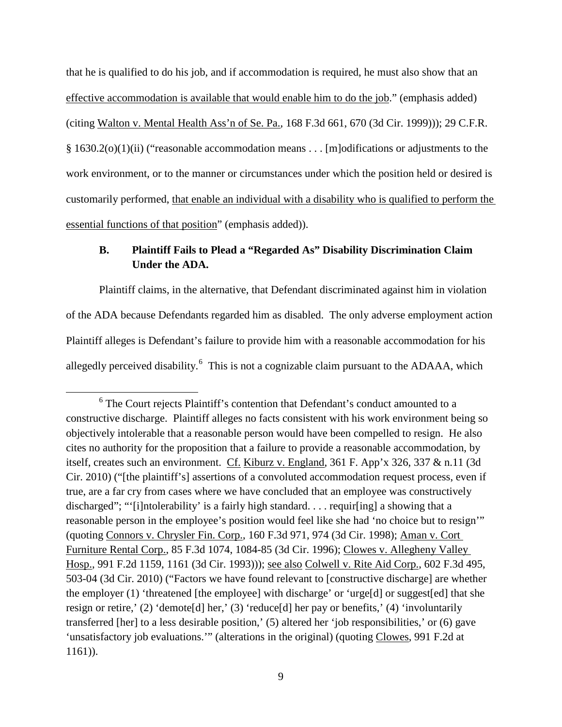that he is qualified to do his job, and if accommodation is required, he must also show that an effective accommodation is available that would enable him to do the job." (emphasis added) (citing Walton v. Mental Health Ass'n of Se. Pa., 168 F.3d 661, 670 (3d Cir. 1999))); 29 C.F.R. § 1630.2(o)(1)(ii) ("reasonable accommodation means . . . [m]odifications or adjustments to the work environment, or to the manner or circumstances under which the position held or desired is customarily performed, that enable an individual with a disability who is qualified to perform the essential functions of that position" (emphasis added)).

# **B. Plaintiff Fails to Plead a "Regarded As" Disability Discrimination Claim Under the ADA.**

Plaintiff claims, in the alternative, that Defendant discriminated against him in violation of the ADA because Defendants regarded him as disabled. The only adverse employment action Plaintiff alleges is Defendant's failure to provide him with a reasonable accommodation for his allegedly perceived disability.<sup>[6](#page-8-0)</sup> This is not a cognizable claim pursuant to the ADAAA, which

<span id="page-8-0"></span> <sup>6</sup> The Court rejects Plaintiff's contention that Defendant's conduct amounted to a constructive discharge. Plaintiff alleges no facts consistent with his work environment being so objectively intolerable that a reasonable person would have been compelled to resign. He also cites no authority for the proposition that a failure to provide a reasonable accommodation, by itself, creates such an environment. Cf. Kiburz v. England, 361 F. App'x 326, 337 & n.11 (3d Cir. 2010) ("[the plaintiff's] assertions of a convoluted accommodation request process, even if true, are a far cry from cases where we have concluded that an employee was constructively discharged"; "'[i]ntolerability' is a fairly high standard. . . . requir[ing] a showing that a reasonable person in the employee's position would feel like she had 'no choice but to resign'" (quoting Connors v. Chrysler Fin. Corp., 160 F.3d 971, 974 (3d Cir. 1998); Aman v. Cort Furniture Rental Corp., 85 F.3d 1074, 1084-85 (3d Cir. 1996); Clowes v. Allegheny Valley Hosp., 991 F.2d 1159, 1161 (3d Cir. 1993))); see also Colwell v. Rite Aid Corp., 602 F.3d 495, 503-04 (3d Cir. 2010) ("Factors we have found relevant to [constructive discharge] are whether the employer (1) 'threatened [the employee] with discharge' or 'urge[d] or suggest[ed] that she resign or retire,' (2) 'demote[d] her,' (3) 'reduce[d] her pay or benefits,' (4) 'involuntarily transferred [her] to a less desirable position,' (5) altered her 'job responsibilities,' or (6) gave 'unsatisfactory job evaluations.'" (alterations in the original) (quoting Clowes, 991 F.2d at 1161)).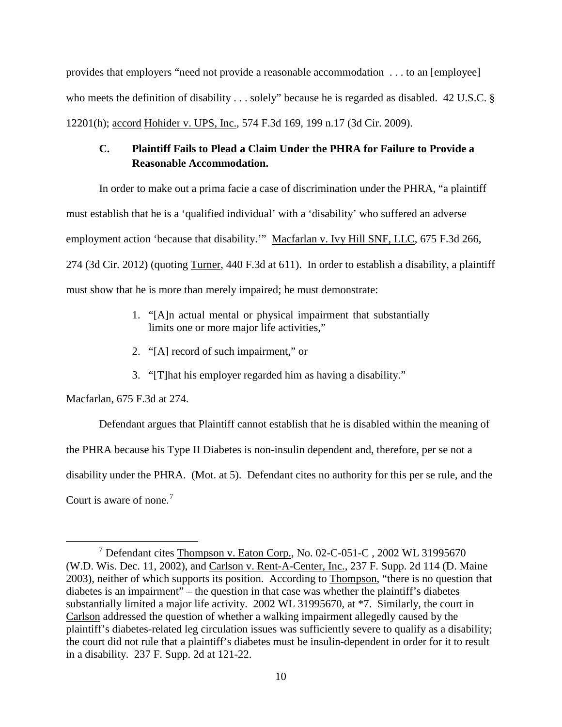provides that employers "need not provide a reasonable accommodation . . . to an [employee] who meets the definition of disability . . . solely" because he is regarded as disabled. 42 U.S.C. § 12201(h); accord Hohider v. UPS, Inc., 574 F.3d 169, 199 n.17 (3d Cir. 2009).

# **C. Plaintiff Fails to Plead a Claim Under the PHRA for Failure to Provide a Reasonable Accommodation.**

In order to make out a prima facie a case of discrimination under the PHRA, "a plaintiff must establish that he is a 'qualified individual' with a 'disability' who suffered an adverse employment action 'because that disability.'" Macfarlan v. Ivy Hill SNF, LLC, 675 F.3d 266, 274 (3d Cir. 2012) (quoting Turner, 440 F.3d at 611). In order to establish a disability, a plaintiff must show that he is more than merely impaired; he must demonstrate:

- 1. "[A]n actual mental or physical impairment that substantially limits one or more major life activities,"
- 2. "[A] record of such impairment," or
- 3. "[T]hat his employer regarded him as having a disability."

Macfarlan, 675 F.3d at 274.

Defendant argues that Plaintiff cannot establish that he is disabled within the meaning of the PHRA because his Type II Diabetes is non-insulin dependent and, therefore, per se not a disability under the PHRA. (Mot. at 5). Defendant cites no authority for this per se rule, and the Court is aware of none.<sup>[7](#page-9-0)</sup>

<span id="page-9-0"></span> <sup>7</sup> Defendant cites Thompson v. Eaton Corp., No. 02-C-051-C , 2002 WL 31995670 (W.D. Wis. Dec. 11, 2002), and Carlson v. Rent-A-Center, Inc., 237 F. Supp. 2d 114 (D. Maine 2003), neither of which supports its position. According to Thompson, "there is no question that diabetes is an impairment" – the question in that case was whether the plaintiff's diabetes substantially limited a major life activity. 2002 WL 31995670, at \*7. Similarly, the court in Carlson addressed the question of whether a walking impairment allegedly caused by the plaintiff's diabetes-related leg circulation issues was sufficiently severe to qualify as a disability; the court did not rule that a plaintiff's diabetes must be insulin-dependent in order for it to result in a disability. 237 F. Supp. 2d at 121-22.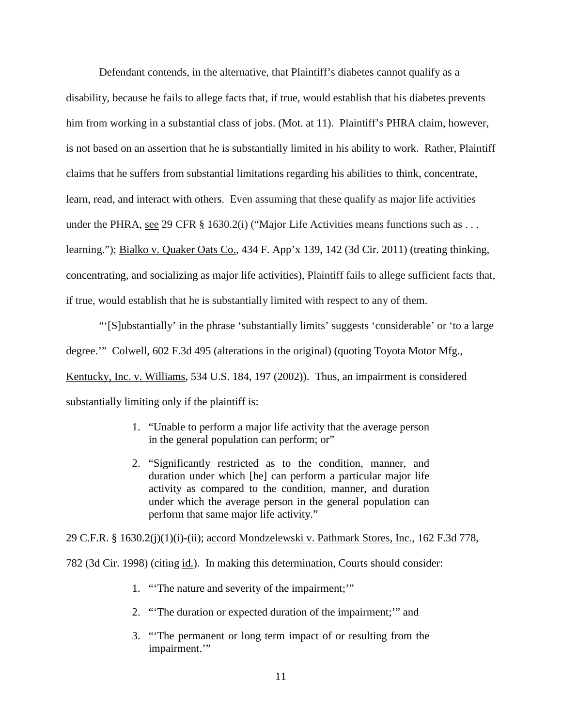Defendant contends, in the alternative, that Plaintiff's diabetes cannot qualify as a disability, because he fails to allege facts that, if true, would establish that his diabetes prevents him from working in a substantial class of jobs. (Mot. at 11). Plaintiff's PHRA claim, however, is not based on an assertion that he is substantially limited in his ability to work. Rather, Plaintiff claims that he suffers from substantial limitations regarding his abilities to think, concentrate, learn, read, and interact with others. Even assuming that these qualify as major life activities under the PHRA, see 29 CFR § 1630.2(i) ("Major Life Activities means functions such as . . . learning."); Bialko v. Quaker Oats Co., 434 F. App'x 139, 142 (3d Cir. 2011) (treating thinking, concentrating, and socializing as major life activities), Plaintiff fails to allege sufficient facts that, if true, would establish that he is substantially limited with respect to any of them.

"'[S]ubstantially' in the phrase 'substantially limits' suggests 'considerable' or 'to a large degree.'" Colwell, 602 F.3d 495 (alterations in the original) (quoting Toyota Motor Mfg., Kentucky, Inc. v. Williams, 534 U.S. 184, 197 (2002)). Thus, an impairment is considered substantially limiting only if the plaintiff is:

- 1. "Unable to perform a major life activity that the average person in the general population can perform; or"
- 2. "Significantly restricted as to the condition, manner, and duration under which [he] can perform a particular major life activity as compared to the condition, manner, and duration under which the average person in the general population can perform that same major life activity."

29 C.F.R. § 1630.2(j)(1)(i)-(ii); accord Mondzelewski v. Pathmark Stores, Inc., 162 F.3d 778, 782 (3d Cir. 1998) (citing id.). In making this determination, Courts should consider:

- 1. "'The nature and severity of the impairment;'"
- 2. "'The duration or expected duration of the impairment;'" and
- 3. "'The permanent or long term impact of or resulting from the impairment."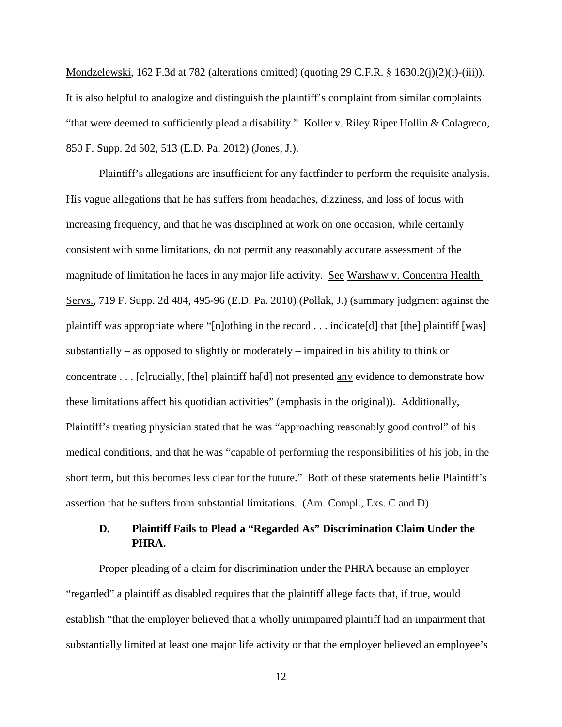Mondzelewski, 162 F.3d at 782 (alterations omitted) (quoting 29 C.F.R. § 1630.2(j)(2)(j)-(iii)). It is also helpful to analogize and distinguish the plaintiff's complaint from similar complaints "that were deemed to sufficiently plead a disability." Koller v. Riley Riper Hollin & Colagreco, 850 F. Supp. 2d 502, 513 (E.D. Pa. 2012) (Jones, J.).

Plaintiff's allegations are insufficient for any factfinder to perform the requisite analysis. His vague allegations that he has suffers from headaches, dizziness, and loss of focus with increasing frequency, and that he was disciplined at work on one occasion, while certainly consistent with some limitations, do not permit any reasonably accurate assessment of the magnitude of limitation he faces in any major life activity. See Warshaw v. Concentra Health Servs., 719 F. Supp. 2d 484, 495-96 (E.D. Pa. 2010) (Pollak, J.) (summary judgment against the plaintiff was appropriate where "[n]othing in the record . . . indicate[d] that [the] plaintiff [was] substantially – as opposed to slightly or moderately – impaired in his ability to think or concentrate . . . [c]rucially, [the] plaintiff ha[d] not presented any evidence to demonstrate how these limitations affect his quotidian activities" (emphasis in the original)). Additionally, Plaintiff's treating physician stated that he was "approaching reasonably good control" of his medical conditions, and that he was "capable of performing the responsibilities of his job, in the short term, but this becomes less clear for the future." Both of these statements belie Plaintiff's assertion that he suffers from substantial limitations. (Am. Compl., Exs. C and D).

## **D. Plaintiff Fails to Plead a "Regarded As" Discrimination Claim Under the PHRA.**

Proper pleading of a claim for discrimination under the PHRA because an employer "regarded" a plaintiff as disabled requires that the plaintiff allege facts that, if true, would establish "that the employer believed that a wholly unimpaired plaintiff had an impairment that substantially limited at least one major life activity or that the employer believed an employee's

12